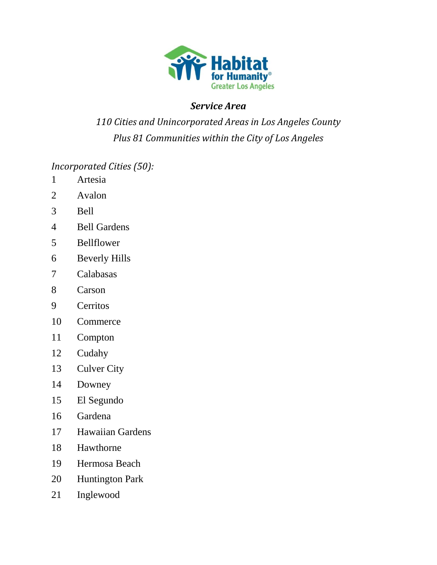

## *Service Area*

## *Cities and Unincorporated Areas in Los Angeles County Plus 81 Communities within the City of Los Angeles*

*Incorporated Cities (50):*

- Artesia
- Avalon
- Bell
- Bell Gardens
- Bellflower
- Beverly Hills
- Calabasas
- Carson
- Cerritos
- Commerce
- Compton
- Cudahy
- Culver City
- Downey
- El Segundo
- Gardena
- Hawaiian Gardens
- Hawthorne
- Hermosa Beach
- Huntington Park
- Inglewood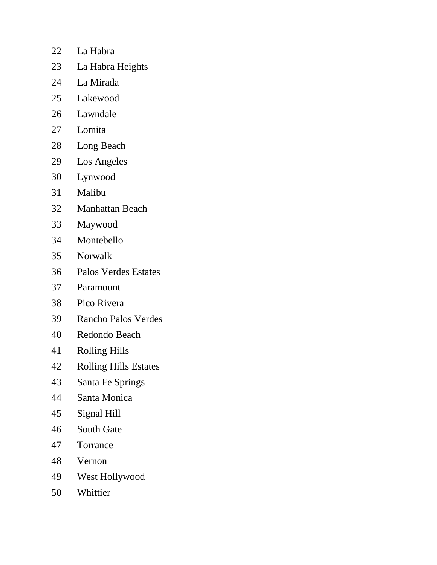- La Habra
- La Habra Heights
- La Mirada
- Lakewood
- Lawndale
- Lomita
- Long Beach
- Los Angeles
- Lynwood
- Malibu
- Manhattan Beach
- Maywood
- Montebello
- Norwalk
- Palos Verdes Estates
- Paramount
- Pico Rivera
- Rancho Palos Verdes
- Redondo Beach
- Rolling Hills
- Rolling Hills Estates
- Santa Fe Springs
- Santa Monica
- Signal Hill
- South Gate
- Torrance
- Vernon
- West Hollywood
- Whittier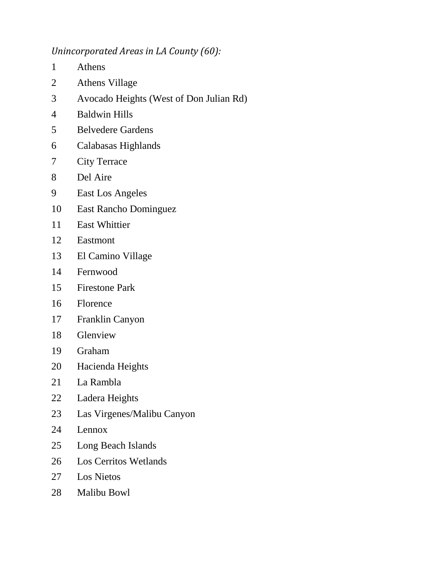## *Unincorporated Areas in LA County (60):*

- Athens
- Athens Village
- Avocado Heights (West of Don Julian Rd)
- Baldwin Hills
- Belvedere Gardens
- Calabasas Highlands
- City Terrace
- Del Aire
- East Los Angeles
- East Rancho Dominguez
- East Whittier
- Eastmont
- El Camino Village
- Fernwood
- Firestone Park
- Florence
- Franklin Canyon
- Glenview
- Graham
- Hacienda Heights
- La Rambla
- Ladera Heights
- Las Virgenes/Malibu Canyon
- Lennox
- Long Beach Islands
- Los Cerritos Wetlands
- Los Nietos
- Malibu Bowl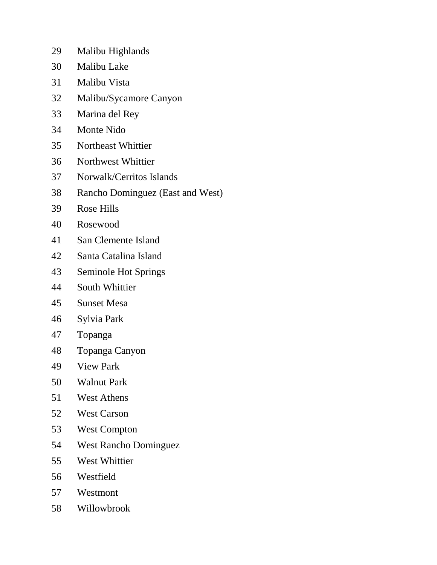- Malibu Highlands
- Malibu Lake
- Malibu Vista
- Malibu/Sycamore Canyon
- Marina del Rey
- Monte Nido
- Northeast Whittier
- Northwest Whittier
- Norwalk/Cerritos Islands
- Rancho Dominguez (East and West)
- Rose Hills
- Rosewood
- San Clemente Island
- Santa Catalina Island
- Seminole Hot Springs
- South Whittier
- Sunset Mesa
- Sylvia Park
- Topanga
- Topanga Canyon
- View Park
- Walnut Park
- West Athens
- West Carson
- West Compton
- West Rancho Dominguez
- West Whittier
- Westfield
- Westmont
- Willowbrook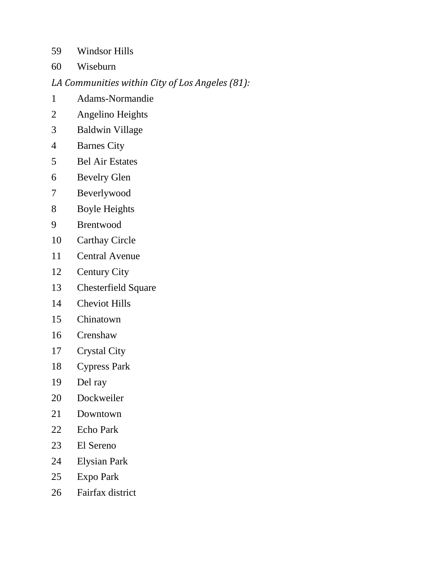Windsor Hills

Wiseburn

## *LA Communities within City of Los Angeles (81):*

- Adams-Normandie
- Angelino Heights
- Baldwin Village
- Barnes City
- Bel Air Estates
- Bevelry Glen
- Beverlywood
- Boyle Heights
- Brentwood
- Carthay Circle
- Central Avenue
- Century City
- Chesterfield Square
- Cheviot Hills
- Chinatown
- Crenshaw
- Crystal City
- Cypress Park
- Del ray
- Dockweiler
- Downtown
- Echo Park
- El Sereno
- Elysian Park
- Expo Park
- Fairfax district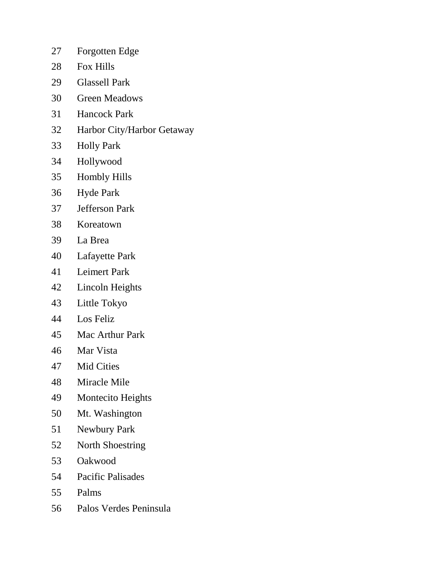- Forgotten Edge
- Fox Hills
- Glassell Park
- Green Meadows
- Hancock Park
- Harbor City/Harbor Getaway
- Holly Park
- Hollywood
- Hombly Hills
- Hyde Park
- Jefferson Park
- Koreatown
- La Brea
- Lafayette Park
- Leimert Park
- Lincoln Heights
- Little Tokyo
- Los Feliz
- Mac Arthur Park
- Mar Vista
- Mid Cities
- Miracle Mile
- Montecito Heights
- Mt. Washington
- Newbury Park
- North Shoestring
- Oakwood
- Pacific Palisades
- Palms
- Palos Verdes Peninsula